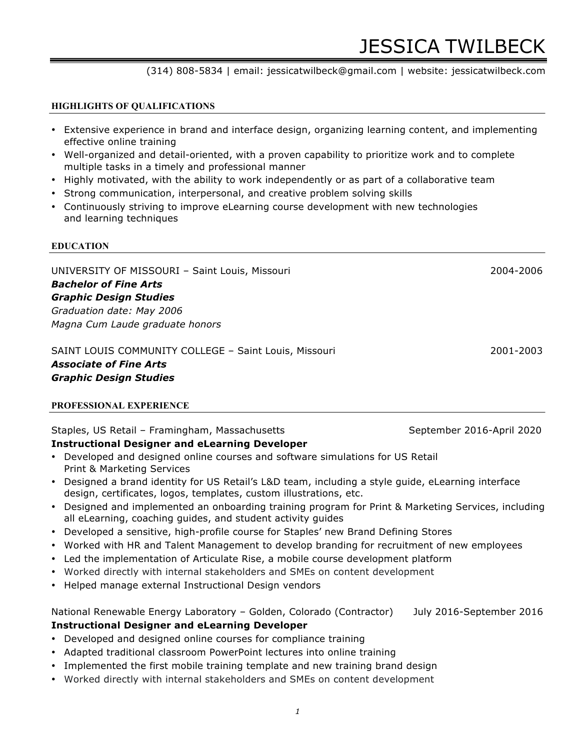#### (314) 808-5834 | email: jessicatwilbeck@gmail.com | website: jessicatwilbeck.com

#### **HIGHLIGHTS OF QUALIFICATIONS**

- Extensive experience in brand and interface design, organizing learning content, and implementing effective online training
- Well-organized and detail-oriented, with a proven capability to prioritize work and to complete multiple tasks in a timely and professional manner
- Highly motivated, with the ability to work independently or as part of a collaborative team
- Strong communication, interpersonal, and creative problem solving skills
- Continuously striving to improve eLearning course development with new technologies and learning techniques

#### **EDUCATION**

UNIVERSITY OF MISSOURI – Saint Louis, Missouri 2004-2006 *Bachelor of Fine Arts Graphic Design Studies Graduation date: May 2006 Magna Cum Laude graduate honors*

#### SAINT LOUIS COMMUNITY COLLEGE – Saint Louis, Missouri 2001-2003 *Associate of Fine Arts Graphic Design Studies*

#### **PROFESSIONAL EXPERIENCE**

#### Staples, US Retail – Framingham, Massachusetts Staples, September 2016-April 2020 **Instructional Designer and eLearning Developer**

- Developed and designed online courses and software simulations for US Retail Print & Marketing Services
- Designed a brand identity for US Retail's L&D team, including a style guide, eLearning interface design, certificates, logos, templates, custom illustrations, etc.
- Designed and implemented an onboarding training program for Print & Marketing Services, including all eLearning, coaching guides, and student activity guides
- Developed a sensitive, high-profile course for Staples' new Brand Defining Stores
- Worked with HR and Talent Management to develop branding for recruitment of new employees
- Led the implementation of Articulate Rise, a mobile course development platform
- Worked directly with internal stakeholders and SMEs on content development
- Helped manage external Instructional Design vendors

#### National Renewable Energy Laboratory - Golden, Colorado (Contractor) July 2016-September 2016 **Instructional Designer and eLearning Developer**

- Developed and designed online courses for compliance training
- Adapted traditional classroom PowerPoint lectures into online training
- Implemented the first mobile training template and new training brand design
- Worked directly with internal stakeholders and SMEs on content development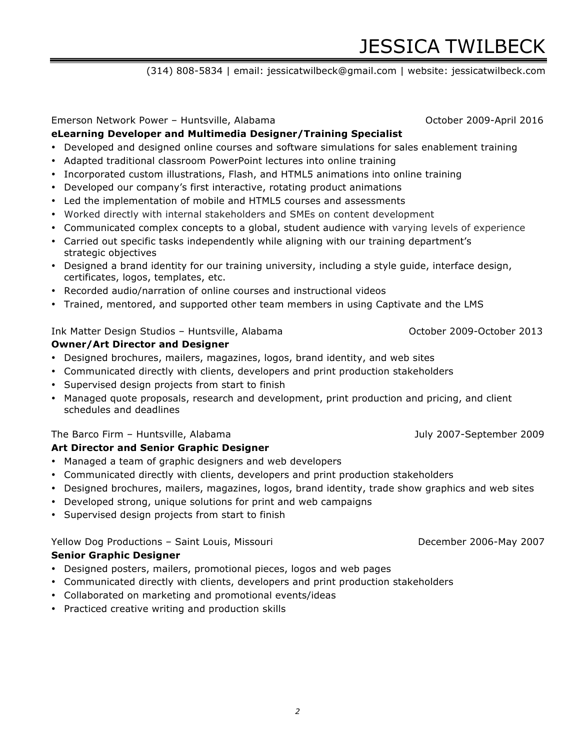# JESSICA TWILBECK

## (314) 808-5834 | email: jessicatwilbeck@gmail.com | website: jessicatwilbeck.com

Emerson Network Power – Huntsville, Alabama October 2009-April 2016

## **eLearning Developer and Multimedia Designer/Training Specialist**

- Developed and designed online courses and software simulations for sales enablement training
- Adapted traditional classroom PowerPoint lectures into online training
- Incorporated custom illustrations, Flash, and HTML5 animations into online training
- Developed our company's first interactive, rotating product animations
- Led the implementation of mobile and HTML5 courses and assessments
- Worked directly with internal stakeholders and SMEs on content development
- Communicated complex concepts to a global, student audience with varying levels of experience
- Carried out specific tasks independently while aligning with our training department's strategic objectives
- Designed a brand identity for our training university, including a style guide, interface design, certificates, logos, templates, etc.
- Recorded audio/narration of online courses and instructional videos
- Trained, mentored, and supported other team members in using Captivate and the LMS

## Ink Matter Design Studios – Huntsville, Alabama Channel Corporation Corporation October 2009-October 2013

## **Owner/Art Director and Designer**

- Designed brochures, mailers, magazines, logos, brand identity, and web sites
- Communicated directly with clients, developers and print production stakeholders
- Supervised design projects from start to finish
- Managed quote proposals, research and development, print production and pricing, and client schedules and deadlines

## The Barco Firm – Huntsville, Alabama July 2007-September 2009

## **Art Director and Senior Graphic Designer**

- Managed a team of graphic designers and web developers
- Communicated directly with clients, developers and print production stakeholders
- Designed brochures, mailers, magazines, logos, brand identity, trade show graphics and web sites
- Developed strong, unique solutions for print and web campaigns
- Supervised design projects from start to finish

## Yellow Dog Productions – Saint Louis, Missouri **December 2006-May 2007**

## **Senior Graphic Designer**

- Designed posters, mailers, promotional pieces, logos and web pages
- Communicated directly with clients, developers and print production stakeholders
- Collaborated on marketing and promotional events/ideas
- Practiced creative writing and production skills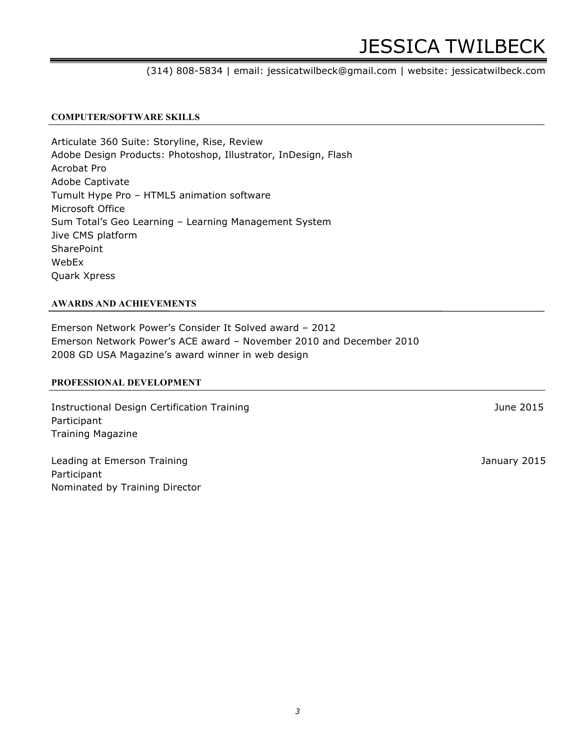# JESSICA TWILBECK

## (314) 808-5834 | email: jessicatwilbeck@gmail.com | website: jessicatwilbeck.com

## **COMPUTER/SOFTWARE SKILLS**

Articulate 360 Suite: Storyline, Rise, Review Adobe Design Products: Photoshop, Illustrator, InDesign, Flash Acrobat Pro Adobe Captivate Tumult Hype Pro – HTML5 animation software Microsoft Office Sum Total's Geo Learning – Learning Management System Jive CMS platform **SharePoint** WebEx Quark Xpress

## **AWARDS AND ACHIEVEMENTS**

Emerson Network Power's Consider It Solved award – 2012 Emerson Network Power's ACE award – November 2010 and December 2010 2008 GD USA Magazine's award winner in web design

## **PROFESSIONAL DEVELOPMENT**

Instructional Design Certification Training June 2015 Participant Training Magazine

Leading at Emerson Training and Training and Training at Emerson Training and Training at Emerson Training and Training and Training and Training and Training and Training and Training and Training and Training and Trainin Participant Nominated by Training Director